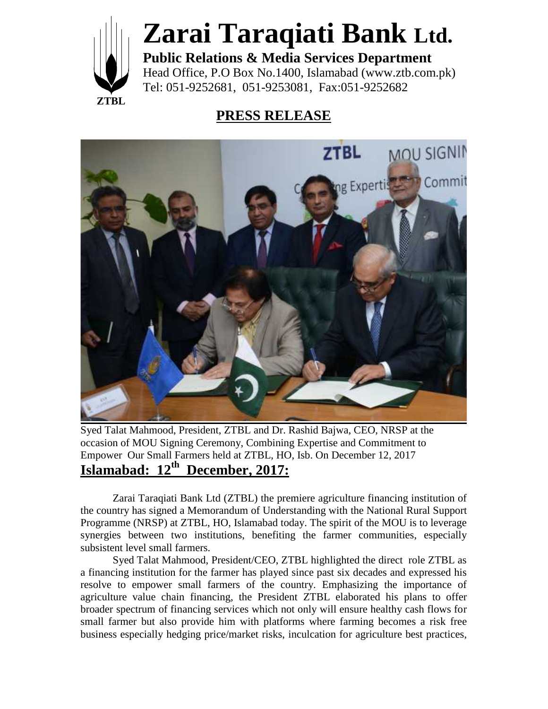

## **Zarai Taraqiati Bank Ltd.**

**Public Relations & Media Services Department** Head Office, P.O Box No.1400, Islamabad (www.ztb.com.pk) Tel: 051-9252681, 051-9253081, Fax:051-9252682

## **PRESS RELEASE**



Syed Talat Mahmood, President, ZTBL and Dr. Rashid Bajwa, CEO, NRSP at the occasion of MOU Signing Ceremony, Combining Expertise and Commitment to Empower Our Small Farmers held at ZTBL, HO, Isb. On December 12, 2017 **Islamabad: 12th December, 2017:**

Zarai Taraqiati Bank Ltd (ZTBL) the premiere agriculture financing institution of the country has signed a Memorandum of Understanding with the National Rural Support Programme (NRSP) at ZTBL, HO, Islamabad today. The spirit of the MOU is to leverage synergies between two institutions, benefiting the farmer communities, especially subsistent level small farmers.

Syed Talat Mahmood, President/CEO, ZTBL highlighted the direct role ZTBL as a financing institution for the farmer has played since past six decades and expressed his resolve to empower small farmers of the country. Emphasizing the importance of agriculture value chain financing, the President ZTBL elaborated his plans to offer broader spectrum of financing services which not only will ensure healthy cash flows for small farmer but also provide him with platforms where farming becomes a risk free business especially hedging price/market risks, inculcation for agriculture best practices,